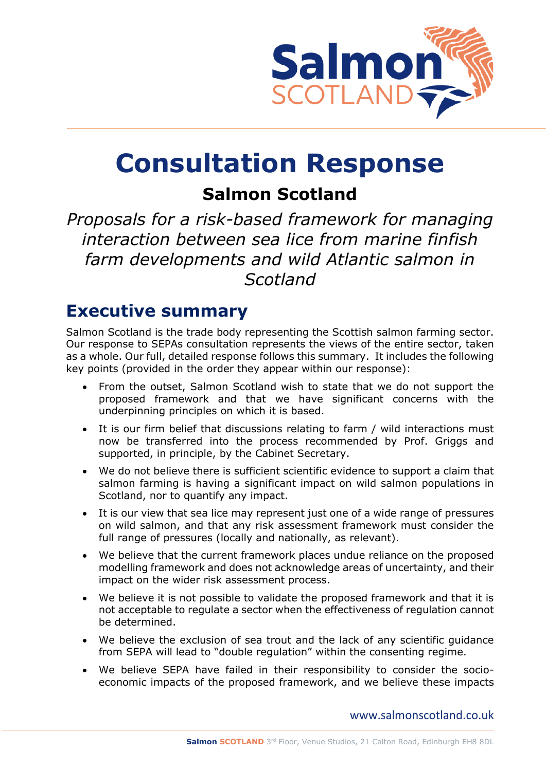

# **Consultation Response**

# **Salmon Scotland**

*Proposals for a risk-based framework for managing interaction between sea lice from marine finfish farm developments and wild Atlantic salmon in Scotland*

### **Executive summary**

Salmon Scotland is the trade body representing the Scottish salmon farming sector. Our response to SEPAs consultation represents the views of the entire sector, taken as a whole. Our full, detailed response follows this summary. It includes the following key points (provided in the order they appear within our response):

- From the outset, Salmon Scotland wish to state that we do not support the proposed framework and that we have significant concerns with the underpinning principles on which it is based.
- It is our firm belief that discussions relating to farm / wild interactions must now be transferred into the process recommended by Prof. Griggs and supported, in principle, by the Cabinet Secretary.
- We do not believe there is sufficient scientific evidence to support a claim that salmon farming is having a significant impact on wild salmon populations in Scotland, nor to quantify any impact.
- It is our view that sea lice may represent just one of a wide range of pressures on wild salmon, and that any risk assessment framework must consider the full range of pressures (locally and nationally, as relevant).
- We believe that the current framework places undue reliance on the proposed modelling framework and does not acknowledge areas of uncertainty, and their impact on the wider risk assessment process.
- We believe it is not possible to validate the proposed framework and that it is not acceptable to regulate a sector when the effectiveness of regulation cannot be determined.
- We believe the exclusion of sea trout and the lack of any scientific guidance from SEPA will lead to "double regulation" within the consenting regime.
- We believe SEPA have failed in their responsibility to consider the socioeconomic impacts of the proposed framework, and we believe these impacts

[www.salmonscotland.co.uk](http://www.salmonscotland.co.uk/)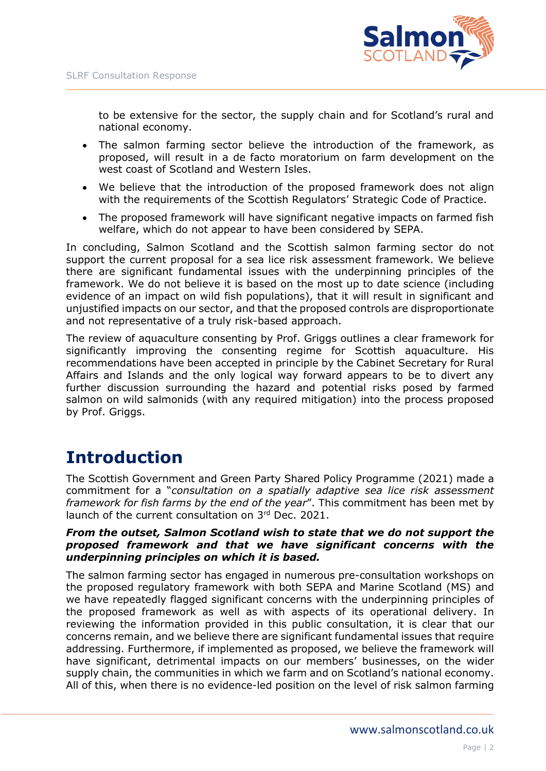

to be extensive for the sector, the supply chain and for Scotland's rural and national economy.

- The salmon farming sector believe the introduction of the framework, as proposed, will result in a de facto moratorium on farm development on the west coast of Scotland and Western Isles.
- We believe that the introduction of the proposed framework does not align with the requirements of the Scottish Regulators' Strategic Code of Practice.
- The proposed framework will have significant negative impacts on farmed fish welfare, which do not appear to have been considered by SEPA.

In concluding, Salmon Scotland and the Scottish salmon farming sector do not support the current proposal for a sea lice risk assessment framework. We believe there are significant fundamental issues with the underpinning principles of the framework. We do not believe it is based on the most up to date science (including evidence of an impact on wild fish populations), that it will result in significant and unjustified impacts on our sector, and that the proposed controls are disproportionate and not representative of a truly risk-based approach.

The review of aquaculture consenting by Prof. Griggs outlines a clear framework for significantly improving the consenting regime for Scottish aquaculture. His recommendations have been accepted in principle by the Cabinet Secretary for Rural Affairs and Islands and the only logical way forward appears to be to divert any further discussion surrounding the hazard and potential risks posed by farmed salmon on wild salmonids (with any required mitigation) into the process proposed by Prof. Griggs.

# **Introduction**

The Scottish Government and Green Party Shared Policy Programme (2021) made a commitment for a "*consultation on a spatially adaptive sea lice risk assessment framework for fish farms by the end of the year*". This commitment has been met by launch of the current consultation on 3rd Dec. 2021.

### *From the outset, Salmon Scotland wish to state that we do not support the proposed framework and that we have significant concerns with the underpinning principles on which it is based.*

The salmon farming sector has engaged in numerous pre-consultation workshops on the proposed regulatory framework with both SEPA and Marine Scotland (MS) and we have repeatedly flagged significant concerns with the underpinning principles of the proposed framework as well as with aspects of its operational delivery. In reviewing the information provided in this public consultation, it is clear that our concerns remain, and we believe there are significant fundamental issues that require addressing. Furthermore, if implemented as proposed, we believe the framework will have significant, detrimental impacts on our members' businesses, on the wider supply chain, the communities in which we farm and on Scotland's national economy. All of this, when there is no evidence-led position on the level of risk salmon farming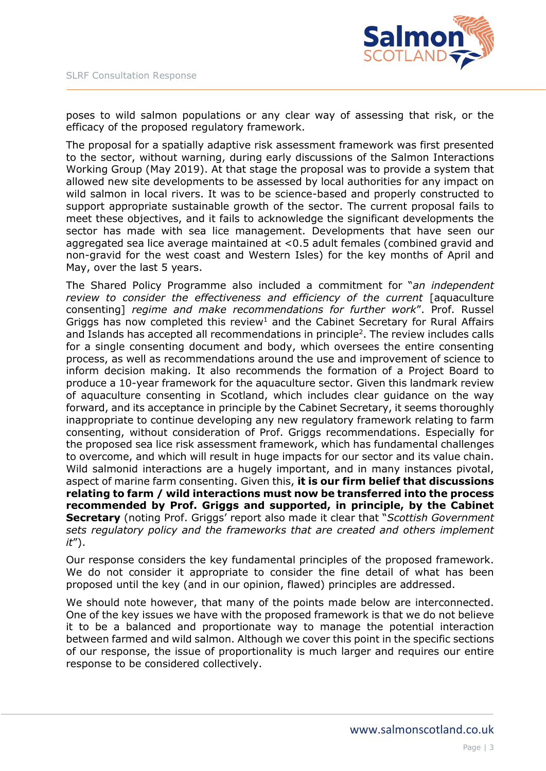

poses to wild salmon populations or any clear way of assessing that risk, or the efficacy of the proposed regulatory framework.

The proposal for a spatially adaptive risk assessment framework was first presented to the sector, without warning, during early discussions of the Salmon Interactions Working Group (May 2019). At that stage the proposal was to provide a system that allowed new site developments to be assessed by local authorities for any impact on wild salmon in local rivers. It was to be science-based and properly constructed to support appropriate sustainable growth of the sector. The current proposal fails to meet these objectives, and it fails to acknowledge the significant developments the sector has made with sea lice management. Developments that have seen our aggregated sea lice average maintained at <0.5 adult females (combined gravid and non-gravid for the west coast and Western Isles) for the key months of April and May, over the last 5 years.

The Shared Policy Programme also included a commitment for "*an independent review to consider the effectiveness and efficiency of the current* [aquaculture consenting] *regime and make recommendations for further work*". Prof. Russel Griggs has now completed this review<sup>1</sup> and the Cabinet Secretary for Rural Affairs and Islands has accepted all recommendations in principle<sup>2</sup>. The review includes calls for a single consenting document and body, which oversees the entire consenting process, as well as recommendations around the use and improvement of science to inform decision making. It also recommends the formation of a Project Board to produce a 10-year framework for the aquaculture sector. Given this landmark review of aquaculture consenting in Scotland, which includes clear guidance on the way forward, and its acceptance in principle by the Cabinet Secretary, it seems thoroughly inappropriate to continue developing any new regulatory framework relating to farm consenting, without consideration of Prof. Griggs recommendations. Especially for the proposed sea lice risk assessment framework, which has fundamental challenges to overcome, and which will result in huge impacts for our sector and its value chain. Wild salmonid interactions are a hugely important, and in many instances pivotal, aspect of marine farm consenting. Given this, **it is our firm belief that discussions relating to farm / wild interactions must now be transferred into the process recommended by Prof. Griggs and supported, in principle, by the Cabinet Secretary** (noting Prof. Griggs' report also made it clear that "*Scottish Government sets regulatory policy and the frameworks that are created and others implement it*").

Our response considers the key fundamental principles of the proposed framework. We do not consider it appropriate to consider the fine detail of what has been proposed until the key (and in our opinion, flawed) principles are addressed.

We should note however, that many of the points made below are interconnected. One of the key issues we have with the proposed framework is that we do not believe it to be a balanced and proportionate way to manage the potential interaction between farmed and wild salmon. Although we cover this point in the specific sections of our response, the issue of proportionality is much larger and requires our entire response to be considered collectively.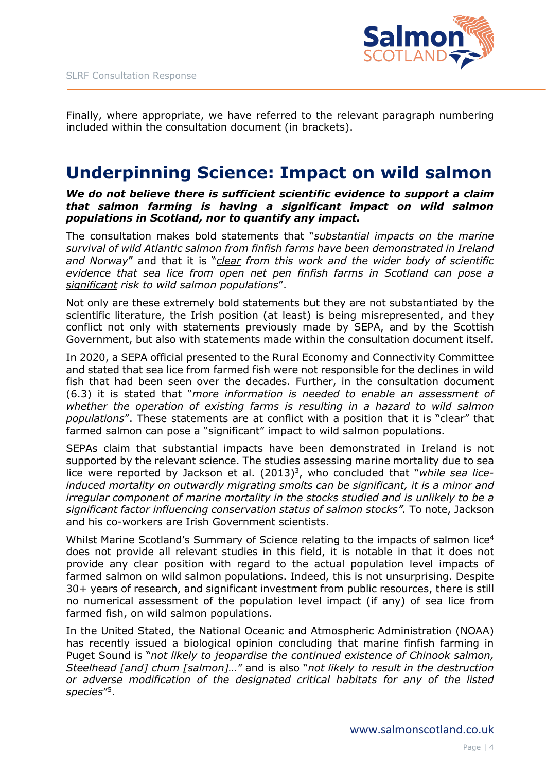

Finally, where appropriate, we have referred to the relevant paragraph numbering included within the consultation document (in brackets).

## **Underpinning Science: Impact on wild salmon**

*We do not believe there is sufficient scientific evidence to support a claim that salmon farming is having a significant impact on wild salmon populations in Scotland, nor to quantify any impact.*

The consultation makes bold statements that "*substantial impacts on the marine survival of wild Atlantic salmon from finfish farms have been demonstrated in Ireland and Norway*" and that it is "*clear from this work and the wider body of scientific evidence that sea lice from open net pen finfish farms in Scotland can pose a significant risk to wild salmon populations*".

Not only are these extremely bold statements but they are not substantiated by the scientific literature, the Irish position (at least) is being misrepresented, and they conflict not only with statements previously made by SEPA, and by the Scottish Government, but also with statements made within the consultation document itself.

In 2020, a SEPA official presented to the Rural Economy and Connectivity Committee and stated that sea lice from farmed fish were not responsible for the declines in wild fish that had been seen over the decades. Further, in the consultation document (6.3) it is stated that "*more information is needed to enable an assessment of whether the operation of existing farms is resulting in a hazard to wild salmon populations*". These statements are at conflict with a position that it is "clear" that farmed salmon can pose a "significant" impact to wild salmon populations.

SEPAs claim that substantial impacts have been demonstrated in Ireland is not supported by the relevant science. The studies assessing marine mortality due to sea lice were reported by Jackson et al. (2013)<sup>3</sup>, who concluded that "*while sea liceinduced mortality on outwardly migrating smolts can be significant, it is a minor and irregular component of marine mortality in the stocks studied and is unlikely to be a significant factor influencing conservation status of salmon stocks".* To note, Jackson and his co-workers are Irish Government scientists.

Whilst Marine Scotland's Summary of Science relating to the impacts of salmon lice<sup>4</sup> does not provide all relevant studies in this field, it is notable in that it does not provide any clear position with regard to the actual population level impacts of farmed salmon on wild salmon populations. Indeed, this is not unsurprising. Despite 30+ years of research, and significant investment from public resources, there is still no numerical assessment of the population level impact (if any) of sea lice from farmed fish, on wild salmon populations.

In the United Stated, the National Oceanic and Atmospheric Administration (NOAA) has recently issued a biological opinion concluding that marine finfish farming in Puget Sound is "*not likely to jeopardise the continued existence of Chinook salmon, Steelhead [and] chum [salmon]…"* and is also "*not likely to result in the destruction or adverse modification of the designated critical habitats for any of the listed species*" 5 .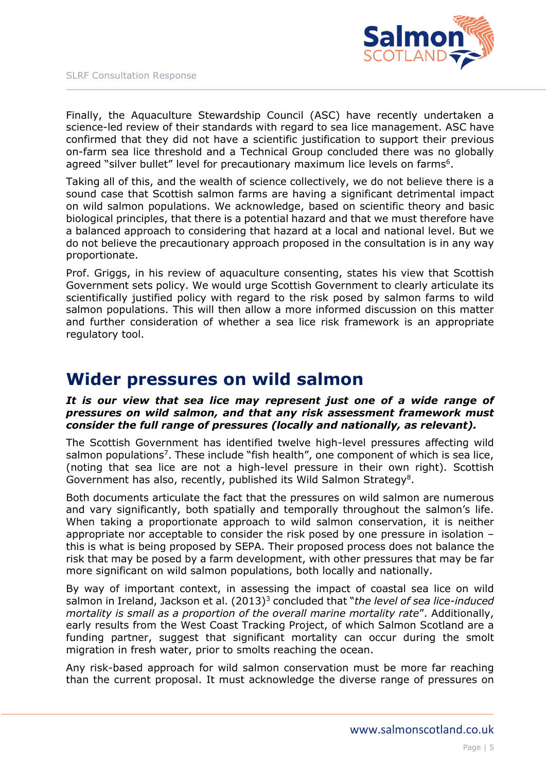

Finally, the Aquaculture Stewardship Council (ASC) have recently undertaken a science-led review of their standards with regard to sea lice management. ASC have confirmed that they did not have a scientific justification to support their previous on-farm sea lice threshold and a Technical Group concluded there was no globally agreed "silver bullet" level for precautionary maximum lice levels on farms<sup>6</sup>.

Taking all of this, and the wealth of science collectively, we do not believe there is a sound case that Scottish salmon farms are having a significant detrimental impact on wild salmon populations. We acknowledge, based on scientific theory and basic biological principles, that there is a potential hazard and that we must therefore have a balanced approach to considering that hazard at a local and national level. But we do not believe the precautionary approach proposed in the consultation is in any way proportionate.

Prof. Griggs, in his review of aquaculture consenting, states his view that Scottish Government sets policy. We would urge Scottish Government to clearly articulate its scientifically justified policy with regard to the risk posed by salmon farms to wild salmon populations. This will then allow a more informed discussion on this matter and further consideration of whether a sea lice risk framework is an appropriate regulatory tool.

## **Wider pressures on wild salmon**

### *It is our view that sea lice may represent just one of a wide range of pressures on wild salmon, and that any risk assessment framework must consider the full range of pressures (locally and nationally, as relevant).*

The Scottish Government has identified twelve high-level pressures affecting wild salmon populations<sup>7</sup>. These include "fish health", one component of which is sea lice, (noting that sea lice are not a high-level pressure in their own right). Scottish Government has also, recently, published its Wild Salmon Strategy<sup>8</sup>.

Both documents articulate the fact that the pressures on wild salmon are numerous and vary significantly, both spatially and temporally throughout the salmon's life. When taking a proportionate approach to wild salmon conservation, it is neither appropriate nor acceptable to consider the risk posed by one pressure in isolation – this is what is being proposed by SEPA. Their proposed process does not balance the risk that may be posed by a farm development, with other pressures that may be far more significant on wild salmon populations, both locally and nationally.

By way of important context, in assessing the impact of coastal sea lice on wild salmon in Ireland, Jackson et al. (2013)<sup>3</sup> concluded that "*the level of sea lice-induced mortality is small as a proportion of the overall marine mortality rate*". Additionally, early results from the West Coast Tracking Project, of which Salmon Scotland are a funding partner, suggest that significant mortality can occur during the smolt migration in fresh water, prior to smolts reaching the ocean.

Any risk-based approach for wild salmon conservation must be more far reaching than the current proposal. It must acknowledge the diverse range of pressures on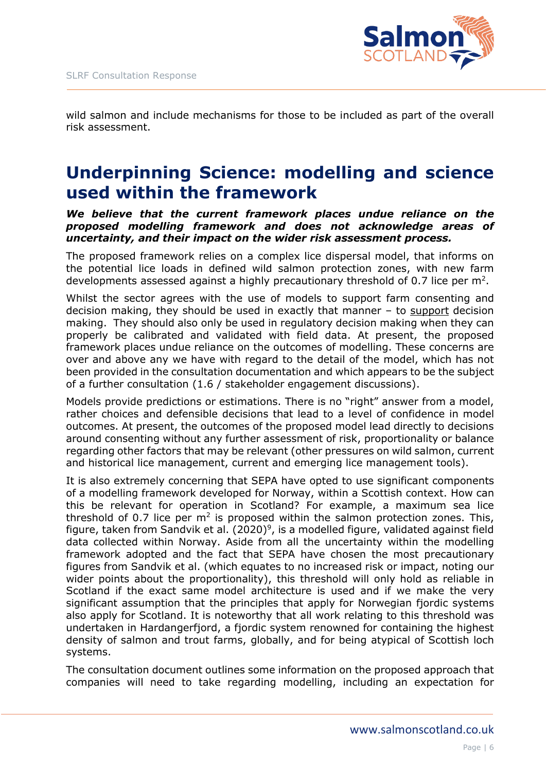

wild salmon and include mechanisms for those to be included as part of the overall risk assessment.

# **Underpinning Science: modelling and science used within the framework**

*We believe that the current framework places undue reliance on the proposed modelling framework and does not acknowledge areas of uncertainty, and their impact on the wider risk assessment process.*

The proposed framework relies on a complex lice dispersal model, that informs on the potential lice loads in defined wild salmon protection zones, with new farm developments assessed against a highly precautionary threshold of 0.7 lice per  $m^2$ .

Whilst the sector agrees with the use of models to support farm consenting and decision making, they should be used in exactly that manner – to support decision making. They should also only be used in regulatory decision making when they can properly be calibrated and validated with field data. At present, the proposed framework places undue reliance on the outcomes of modelling. These concerns are over and above any we have with regard to the detail of the model, which has not been provided in the consultation documentation and which appears to be the subject of a further consultation (1.6 / stakeholder engagement discussions).

Models provide predictions or estimations. There is no "right" answer from a model, rather choices and defensible decisions that lead to a level of confidence in model outcomes. At present, the outcomes of the proposed model lead directly to decisions around consenting without any further assessment of risk, proportionality or balance regarding other factors that may be relevant (other pressures on wild salmon, current and historical lice management, current and emerging lice management tools).

It is also extremely concerning that SEPA have opted to use significant components of a modelling framework developed for Norway, within a Scottish context. How can this be relevant for operation in Scotland? For example, a maximum sea lice threshold of 0.7 lice per  $m<sup>2</sup>$  is proposed within the salmon protection zones. This, figure, taken from Sandvik et al.  $(2020)^9$ , is a modelled figure, validated against field data collected within Norway. Aside from all the uncertainty within the modelling framework adopted and the fact that SEPA have chosen the most precautionary figures from Sandvik et al. (which equates to no increased risk or impact, noting our wider points about the proportionality), this threshold will only hold as reliable in Scotland if the exact same model architecture is used and if we make the very significant assumption that the principles that apply for Norwegian fjordic systems also apply for Scotland. It is noteworthy that all work relating to this threshold was undertaken in Hardangerfjord, a fjordic system renowned for containing the highest density of salmon and trout farms, globally, and for being atypical of Scottish loch systems.

The consultation document outlines some information on the proposed approach that companies will need to take regarding modelling, including an expectation for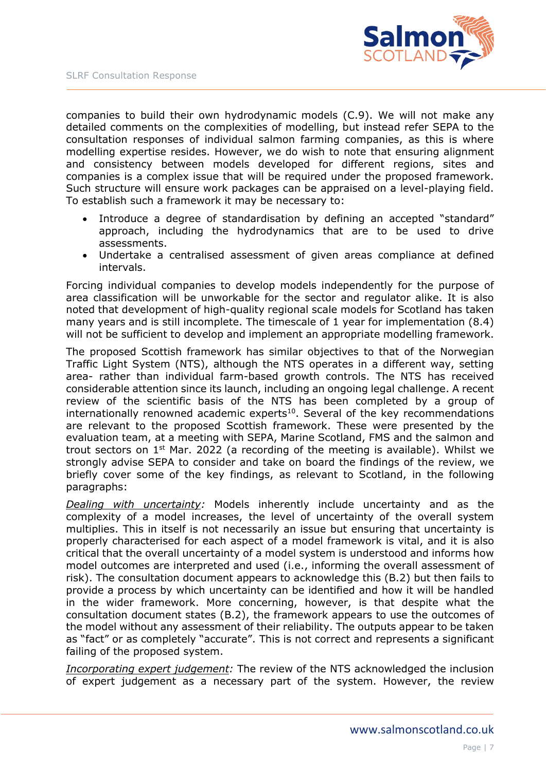

companies to build their own hydrodynamic models (C.9). We will not make any detailed comments on the complexities of modelling, but instead refer SEPA to the consultation responses of individual salmon farming companies, as this is where modelling expertise resides. However, we do wish to note that ensuring alignment and consistency between models developed for different regions, sites and companies is a complex issue that will be required under the proposed framework. Such structure will ensure work packages can be appraised on a level-playing field. To establish such a framework it may be necessary to:

- Introduce a degree of standardisation by defining an accepted "standard" approach, including the hydrodynamics that are to be used to drive assessments.
- Undertake a centralised assessment of given areas compliance at defined intervals.

Forcing individual companies to develop models independently for the purpose of area classification will be unworkable for the sector and regulator alike. It is also noted that development of high-quality regional scale models for Scotland has taken many years and is still incomplete. The timescale of 1 year for implementation (8.4) will not be sufficient to develop and implement an appropriate modelling framework.

The proposed Scottish framework has similar objectives to that of the Norwegian Traffic Light System (NTS), although the NTS operates in a different way, setting area- rather than individual farm-based growth controls. The NTS has received considerable attention since its launch, including an ongoing legal challenge. A recent review of the scientific basis of the NTS has been completed by a group of internationally renowned academic experts<sup>10</sup>. Several of the key recommendations are relevant to the proposed Scottish framework. These were presented by the evaluation team, at a meeting with SEPA, Marine Scotland, FMS and the salmon and trout sectors on  $1<sup>st</sup>$  Mar. 2022 (a recording of the meeting is available). Whilst we strongly advise SEPA to consider and take on board the findings of the review, we briefly cover some of the key findings, as relevant to Scotland, in the following paragraphs:

*Dealing with uncertainty:* Models inherently include uncertainty and as the complexity of a model increases, the level of uncertainty of the overall system multiplies. This in itself is not necessarily an issue but ensuring that uncertainty is properly characterised for each aspect of a model framework is vital, and it is also critical that the overall uncertainty of a model system is understood and informs how model outcomes are interpreted and used (i.e., informing the overall assessment of risk). The consultation document appears to acknowledge this (B.2) but then fails to provide a process by which uncertainty can be identified and how it will be handled in the wider framework. More concerning, however, is that despite what the consultation document states (B.2), the framework appears to use the outcomes of the model without any assessment of their reliability. The outputs appear to be taken as "fact" or as completely "accurate". This is not correct and represents a significant failing of the proposed system.

*Incorporating expert judgement:* The review of the NTS acknowledged the inclusion of expert judgement as a necessary part of the system. However, the review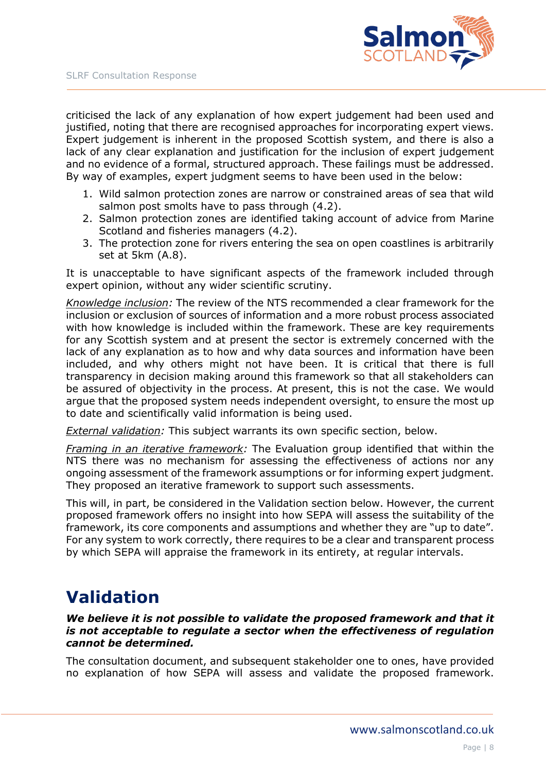

criticised the lack of any explanation of how expert judgement had been used and justified, noting that there are recognised approaches for incorporating expert views. Expert judgement is inherent in the proposed Scottish system, and there is also a lack of any clear explanation and justification for the inclusion of expert judgement and no evidence of a formal, structured approach. These failings must be addressed. By way of examples, expert judgment seems to have been used in the below:

- 1. Wild salmon protection zones are narrow or constrained areas of sea that wild salmon post smolts have to pass through (4.2).
- 2. Salmon protection zones are identified taking account of advice from Marine Scotland and fisheries managers (4.2).
- 3. The protection zone for rivers entering the sea on open coastlines is arbitrarily set at 5km (A.8).

It is unacceptable to have significant aspects of the framework included through expert opinion, without any wider scientific scrutiny.

*Knowledge inclusion:* The review of the NTS recommended a clear framework for the inclusion or exclusion of sources of information and a more robust process associated with how knowledge is included within the framework. These are key requirements for any Scottish system and at present the sector is extremely concerned with the lack of any explanation as to how and why data sources and information have been included, and why others might not have been. It is critical that there is full transparency in decision making around this framework so that all stakeholders can be assured of objectivity in the process. At present, this is not the case. We would argue that the proposed system needs independent oversight, to ensure the most up to date and scientifically valid information is being used.

*External validation:* This subject warrants its own specific section, below.

*Framing in an iterative framework:* The Evaluation group identified that within the NTS there was no mechanism for assessing the effectiveness of actions nor any ongoing assessment of the framework assumptions or for informing expert judgment. They proposed an iterative framework to support such assessments.

This will, in part, be considered in the Validation section below. However, the current proposed framework offers no insight into how SEPA will assess the suitability of the framework, its core components and assumptions and whether they are "up to date". For any system to work correctly, there requires to be a clear and transparent process by which SEPA will appraise the framework in its entirety, at regular intervals.

# **Validation**

*We believe it is not possible to validate the proposed framework and that it is not acceptable to regulate a sector when the effectiveness of regulation cannot be determined.*

The consultation document, and subsequent stakeholder one to ones, have provided no explanation of how SEPA will assess and validate the proposed framework.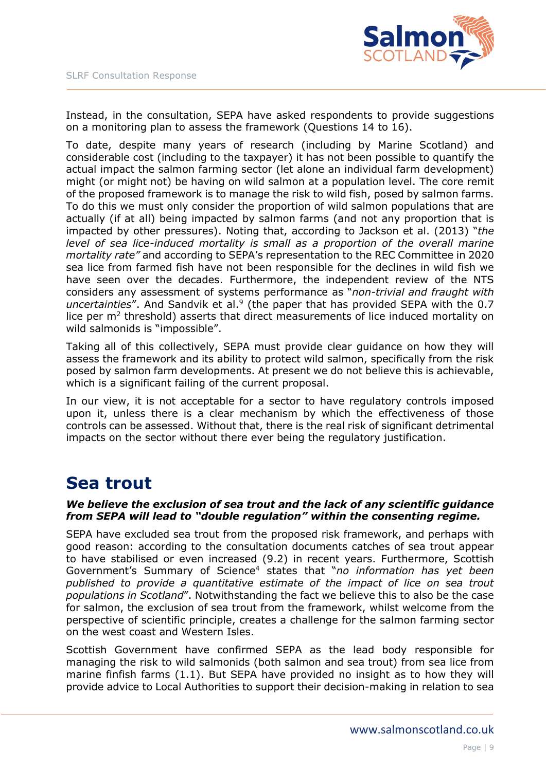

Instead, in the consultation, SEPA have asked respondents to provide suggestions on a monitoring plan to assess the framework (Questions 14 to 16).

To date, despite many years of research (including by Marine Scotland) and considerable cost (including to the taxpayer) it has not been possible to quantify the actual impact the salmon farming sector (let alone an individual farm development) might (or might not) be having on wild salmon at a population level. The core remit of the proposed framework is to manage the risk to wild fish, posed by salmon farms. To do this we must only consider the proportion of wild salmon populations that are actually (if at all) being impacted by salmon farms (and not any proportion that is impacted by other pressures). Noting that, according to Jackson et al. (2013) "*the level of sea lice-induced mortality is small as a proportion of the overall marine mortality rate"* and according to SEPA's representation to the REC Committee in 2020 sea lice from farmed fish have not been responsible for the declines in wild fish we have seen over the decades. Furthermore, the independent review of the NTS considers any assessment of systems performance as "*non-trivial and fraught with*  uncertainties". And Sandvik et al.<sup>9</sup> (the paper that has provided SEPA with the 0.7 lice per  $m<sup>2</sup>$  threshold) asserts that direct measurements of lice induced mortality on wild salmonids is "impossible".

Taking all of this collectively, SEPA must provide clear guidance on how they will assess the framework and its ability to protect wild salmon, specifically from the risk posed by salmon farm developments. At present we do not believe this is achievable, which is a significant failing of the current proposal.

In our view, it is not acceptable for a sector to have regulatory controls imposed upon it, unless there is a clear mechanism by which the effectiveness of those controls can be assessed. Without that, there is the real risk of significant detrimental impacts on the sector without there ever being the regulatory justification.

# **Sea trout**

### *We believe the exclusion of sea trout and the lack of any scientific guidance from SEPA will lead to "double regulation" within the consenting regime.*

SEPA have excluded sea trout from the proposed risk framework, and perhaps with good reason: according to the consultation documents catches of sea trout appear to have stabilised or even increased (9.2) in recent years. Furthermore, Scottish Government's Summary of Science<sup>4</sup> states that "*no information has yet been published to provide a quantitative estimate of the impact of lice on sea trout populations in Scotland*". Notwithstanding the fact we believe this to also be the case for salmon, the exclusion of sea trout from the framework, whilst welcome from the perspective of scientific principle, creates a challenge for the salmon farming sector on the west coast and Western Isles.

Scottish Government have confirmed SEPA as the lead body responsible for managing the risk to wild salmonids (both salmon and sea trout) from sea lice from marine finfish farms (1.1). But SEPA have provided no insight as to how they will provide advice to Local Authorities to support their decision-making in relation to sea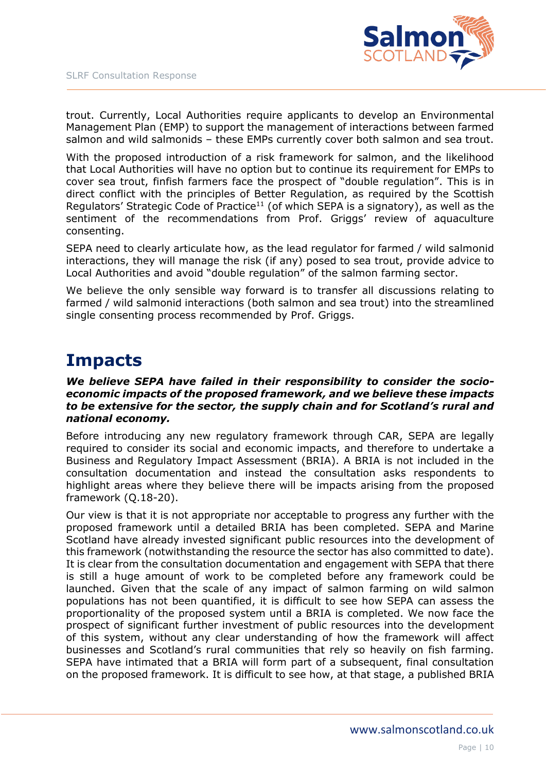

trout. Currently, Local Authorities require applicants to develop an Environmental Management Plan (EMP) to support the management of interactions between farmed salmon and wild salmonids – these EMPs currently cover both salmon and sea trout.

With the proposed introduction of a risk framework for salmon, and the likelihood that Local Authorities will have no option but to continue its requirement for EMPs to cover sea trout, finfish farmers face the prospect of "double regulation". This is in direct conflict with the principles of Better Regulation, as required by the Scottish Regulators' Strategic Code of Practice<sup>11</sup> (of which SEPA is a signatory), as well as the sentiment of the recommendations from Prof. Griggs' review of aquaculture consenting.

SEPA need to clearly articulate how, as the lead regulator for farmed / wild salmonid interactions, they will manage the risk (if any) posed to sea trout, provide advice to Local Authorities and avoid "double regulation" of the salmon farming sector.

We believe the only sensible way forward is to transfer all discussions relating to farmed / wild salmonid interactions (both salmon and sea trout) into the streamlined single consenting process recommended by Prof. Griggs.

## **Impacts**

### *We believe SEPA have failed in their responsibility to consider the socioeconomic impacts of the proposed framework, and we believe these impacts to be extensive for the sector, the supply chain and for Scotland's rural and national economy.*

Before introducing any new regulatory framework through CAR, SEPA are legally required to consider its social and economic impacts, and therefore to undertake a Business and Regulatory Impact Assessment (BRIA). A BRIA is not included in the consultation documentation and instead the consultation asks respondents to highlight areas where they believe there will be impacts arising from the proposed framework (Q.18-20).

Our view is that it is not appropriate nor acceptable to progress any further with the proposed framework until a detailed BRIA has been completed. SEPA and Marine Scotland have already invested significant public resources into the development of this framework (notwithstanding the resource the sector has also committed to date). It is clear from the consultation documentation and engagement with SEPA that there is still a huge amount of work to be completed before any framework could be launched. Given that the scale of any impact of salmon farming on wild salmon populations has not been quantified, it is difficult to see how SEPA can assess the proportionality of the proposed system until a BRIA is completed. We now face the prospect of significant further investment of public resources into the development of this system, without any clear understanding of how the framework will affect businesses and Scotland's rural communities that rely so heavily on fish farming. SEPA have intimated that a BRIA will form part of a subsequent, final consultation on the proposed framework. It is difficult to see how, at that stage, a published BRIA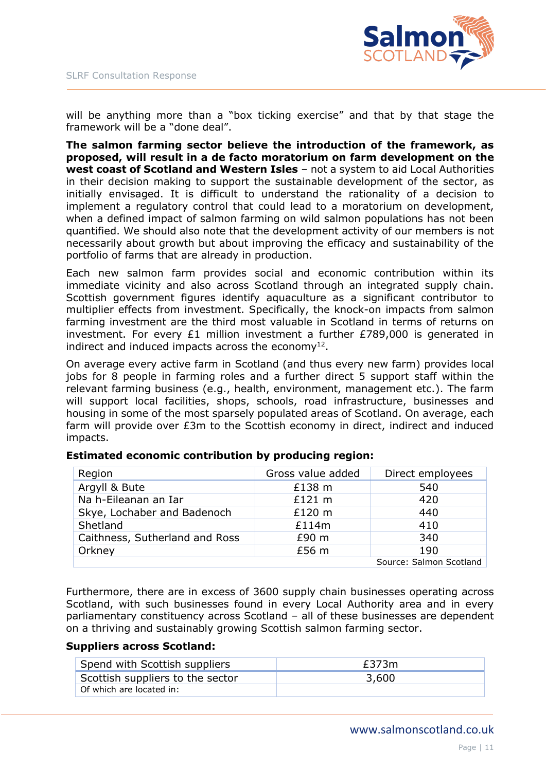

will be anything more than a "box ticking exercise" and that by that stage the framework will be a "done deal".

**The salmon farming sector believe the introduction of the framework, as proposed, will result in a de facto moratorium on farm development on the west coast of Scotland and Western Isles** – not a system to aid Local Authorities in their decision making to support the sustainable development of the sector, as initially envisaged. It is difficult to understand the rationality of a decision to implement a regulatory control that could lead to a moratorium on development, when a defined impact of salmon farming on wild salmon populations has not been quantified. We should also note that the development activity of our members is not necessarily about growth but about improving the efficacy and sustainability of the portfolio of farms that are already in production.

Each new salmon farm provides social and economic contribution within its immediate vicinity and also across Scotland through an integrated supply chain. Scottish government figures identify aquaculture as a significant contributor to multiplier effects from investment. Specifically, the knock-on impacts from salmon farming investment are the third most valuable in Scotland in terms of returns on investment. For every  $E1$  million investment a further  $E789,000$  is generated in indirect and induced impacts across the economy $^{12}$ .

On average every active farm in Scotland (and thus every new farm) provides local jobs for 8 people in farming roles and a further direct 5 support staff within the relevant farming business (e.g., health, environment, management etc.). The farm will support local facilities, shops, schools, road infrastructure, businesses and housing in some of the most sparsely populated areas of Scotland. On average, each farm will provide over £3m to the Scottish economy in direct, indirect and induced impacts.

| Region                         | Gross value added | Direct employees        |
|--------------------------------|-------------------|-------------------------|
| Argyll & Bute                  | £138 m            | 540                     |
| Na h-Eileanan an Iar           | £121 m            | 420                     |
| Skye, Lochaber and Badenoch    | £120 m            | 440                     |
| Shetland                       | £114m             | 410                     |
| Caithness, Sutherland and Ross | £90 <sub>m</sub>  | 340                     |
| Orkney                         | £56 m             | 190                     |
|                                |                   | Source: Salmon Scotland |

### **Estimated economic contribution by producing region:**

Furthermore, there are in excess of 3600 supply chain businesses operating across Scotland, with such businesses found in every Local Authority area and in every parliamentary constituency across Scotland – all of these businesses are dependent on a thriving and sustainably growing Scottish salmon farming sector.

### **Suppliers across Scotland:**

| Spend with Scottish suppliers    | £373m |
|----------------------------------|-------|
| Scottish suppliers to the sector | 3,600 |
| Of which are located in:         |       |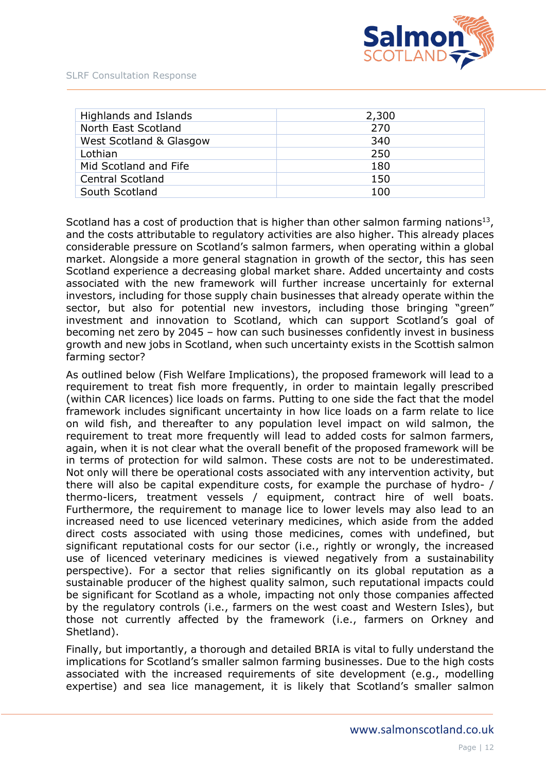

| Highlands and Islands   | 2,300 |
|-------------------------|-------|
| North East Scotland     | 270   |
| West Scotland & Glasgow | 340   |
| Lothian                 | 250   |
| Mid Scotland and Fife   | 180   |
| <b>Central Scotland</b> | 150   |
| South Scotland          | 100   |

Scotland has a cost of production that is higher than other salmon farming nations<sup>13</sup>, and the costs attributable to regulatory activities are also higher. This already places considerable pressure on Scotland's salmon farmers, when operating within a global market. Alongside a more general stagnation in growth of the sector, this has seen Scotland experience a decreasing global market share. Added uncertainty and costs associated with the new framework will further increase uncertainly for external investors, including for those supply chain businesses that already operate within the sector, but also for potential new investors, including those bringing "green" investment and innovation to Scotland, which can support Scotland's goal of becoming net zero by 2045 – how can such businesses confidently invest in business growth and new jobs in Scotland, when such uncertainty exists in the Scottish salmon farming sector?

As outlined below (Fish Welfare Implications), the proposed framework will lead to a requirement to treat fish more frequently, in order to maintain legally prescribed (within CAR licences) lice loads on farms. Putting to one side the fact that the model framework includes significant uncertainty in how lice loads on a farm relate to lice on wild fish, and thereafter to any population level impact on wild salmon, the requirement to treat more frequently will lead to added costs for salmon farmers, again, when it is not clear what the overall benefit of the proposed framework will be in terms of protection for wild salmon. These costs are not to be underestimated. Not only will there be operational costs associated with any intervention activity, but there will also be capital expenditure costs, for example the purchase of hydro- / thermo-licers, treatment vessels / equipment, contract hire of well boats. Furthermore, the requirement to manage lice to lower levels may also lead to an increased need to use licenced veterinary medicines, which aside from the added direct costs associated with using those medicines, comes with undefined, but significant reputational costs for our sector (i.e., rightly or wrongly, the increased use of licenced veterinary medicines is viewed negatively from a sustainability perspective). For a sector that relies significantly on its global reputation as a sustainable producer of the highest quality salmon, such reputational impacts could be significant for Scotland as a whole, impacting not only those companies affected by the regulatory controls (i.e., farmers on the west coast and Western Isles), but those not currently affected by the framework (i.e., farmers on Orkney and Shetland).

Finally, but importantly, a thorough and detailed BRIA is vital to fully understand the implications for Scotland's smaller salmon farming businesses. Due to the high costs associated with the increased requirements of site development (e.g., modelling expertise) and sea lice management, it is likely that Scotland's smaller salmon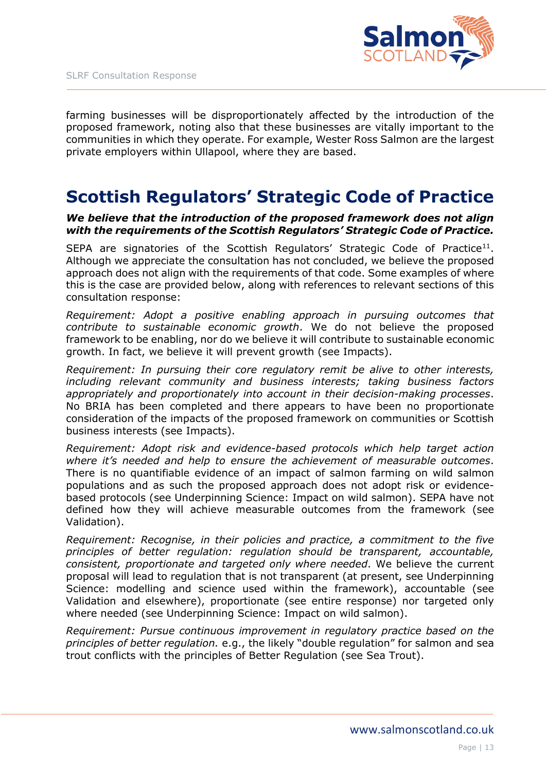

farming businesses will be disproportionately affected by the introduction of the proposed framework, noting also that these businesses are vitally important to the communities in which they operate. For example, Wester Ross Salmon are the largest private employers within Ullapool, where they are based.

# **Scottish Regulators' Strategic Code of Practice**

### *We believe that the introduction of the proposed framework does not align with the requirements of the Scottish Regulators' Strategic Code of Practice.*

SEPA are signatories of the Scottish Regulators' Strategic Code of Practice<sup>11</sup>. Although we appreciate the consultation has not concluded, we believe the proposed approach does not align with the requirements of that code. Some examples of where this is the case are provided below, along with references to relevant sections of this consultation response:

*Requirement: Adopt a positive enabling approach in pursuing outcomes that contribute to sustainable economic growth*. We do not believe the proposed framework to be enabling, nor do we believe it will contribute to sustainable economic growth. In fact, we believe it will prevent growth (see Impacts).

*Requirement: In pursuing their core regulatory remit be alive to other interests, including relevant community and business interests; taking business factors appropriately and proportionately into account in their decision-making processes*. No BRIA has been completed and there appears to have been no proportionate consideration of the impacts of the proposed framework on communities or Scottish business interests (see Impacts).

*Requirement: Adopt risk and evidence-based protocols which help target action where it's needed and help to ensure the achievement of measurable outcomes*. There is no quantifiable evidence of an impact of salmon farming on wild salmon populations and as such the proposed approach does not adopt risk or evidencebased protocols (see Underpinning Science: Impact on wild salmon). SEPA have not defined how they will achieve measurable outcomes from the framework (see Validation).

*Requirement: Recognise, in their policies and practice, a commitment to the five principles of better regulation: regulation should be transparent, accountable, consistent, proportionate and targeted only where needed*. We believe the current proposal will lead to regulation that is not transparent (at present, see Underpinning Science: modelling and science used within the framework), accountable (see Validation and elsewhere), proportionate (see entire response) nor targeted only where needed (see Underpinning Science: Impact on wild salmon).

*Requirement: Pursue continuous improvement in regulatory practice based on the principles of better regulation.* e.g., the likely "double regulation" for salmon and sea trout conflicts with the principles of Better Regulation (see Sea Trout).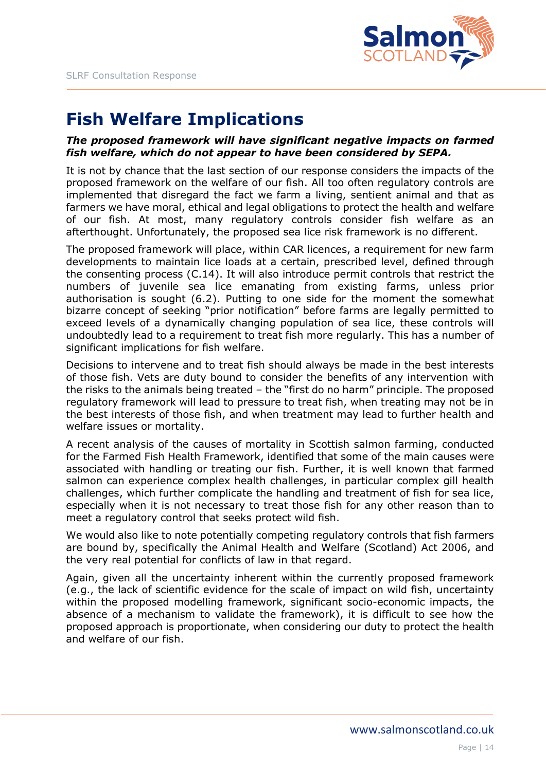

# **Fish Welfare Implications**

### *The proposed framework will have significant negative impacts on farmed fish welfare, which do not appear to have been considered by SEPA.*

It is not by chance that the last section of our response considers the impacts of the proposed framework on the welfare of our fish. All too often regulatory controls are implemented that disregard the fact we farm a living, sentient animal and that as farmers we have moral, ethical and legal obligations to protect the health and welfare of our fish. At most, many regulatory controls consider fish welfare as an afterthought. Unfortunately, the proposed sea lice risk framework is no different.

The proposed framework will place, within CAR licences, a requirement for new farm developments to maintain lice loads at a certain, prescribed level, defined through the consenting process (C.14). It will also introduce permit controls that restrict the numbers of juvenile sea lice emanating from existing farms, unless prior authorisation is sought (6.2). Putting to one side for the moment the somewhat bizarre concept of seeking "prior notification" before farms are legally permitted to exceed levels of a dynamically changing population of sea lice, these controls will undoubtedly lead to a requirement to treat fish more regularly. This has a number of significant implications for fish welfare.

Decisions to intervene and to treat fish should always be made in the best interests of those fish. Vets are duty bound to consider the benefits of any intervention with the risks to the animals being treated – the "first do no harm" principle. The proposed regulatory framework will lead to pressure to treat fish, when treating may not be in the best interests of those fish, and when treatment may lead to further health and welfare issues or mortality.

A recent analysis of the causes of mortality in Scottish salmon farming, conducted for the Farmed Fish Health Framework, identified that some of the main causes were associated with handling or treating our fish. Further, it is well known that farmed salmon can experience complex health challenges, in particular complex gill health challenges, which further complicate the handling and treatment of fish for sea lice, especially when it is not necessary to treat those fish for any other reason than to meet a regulatory control that seeks protect wild fish.

We would also like to note potentially competing regulatory controls that fish farmers are bound by, specifically the Animal Health and Welfare (Scotland) Act 2006, and the very real potential for conflicts of law in that regard.

Again, given all the uncertainty inherent within the currently proposed framework (e.g., the lack of scientific evidence for the scale of impact on wild fish, uncertainty within the proposed modelling framework, significant socio-economic impacts, the absence of a mechanism to validate the framework), it is difficult to see how the proposed approach is proportionate, when considering our duty to protect the health and welfare of our fish.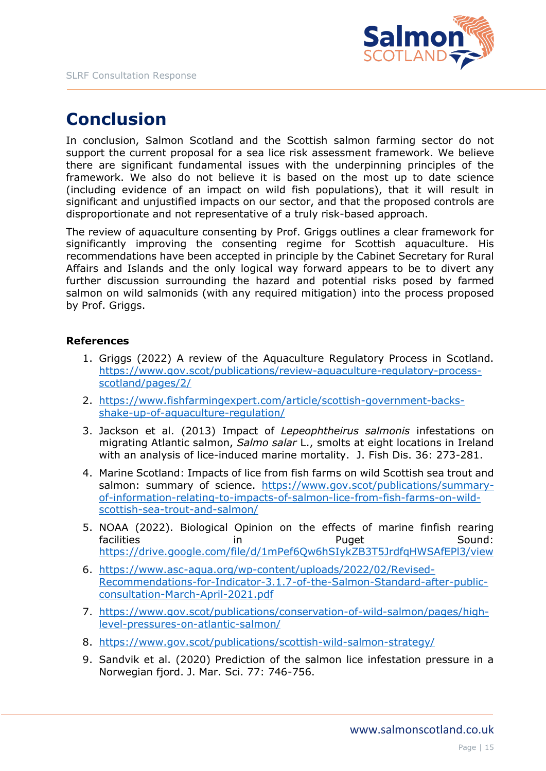

# **Conclusion**

In conclusion, Salmon Scotland and the Scottish salmon farming sector do not support the current proposal for a sea lice risk assessment framework. We believe there are significant fundamental issues with the underpinning principles of the framework. We also do not believe it is based on the most up to date science (including evidence of an impact on wild fish populations), that it will result in significant and unjustified impacts on our sector, and that the proposed controls are disproportionate and not representative of a truly risk-based approach.

The review of aquaculture consenting by Prof. Griggs outlines a clear framework for significantly improving the consenting regime for Scottish aquaculture. His recommendations have been accepted in principle by the Cabinet Secretary for Rural Affairs and Islands and the only logical way forward appears to be to divert any further discussion surrounding the hazard and potential risks posed by farmed salmon on wild salmonids (with any required mitigation) into the process proposed by Prof. Griggs.

### **References**

- 1. Griggs (2022) A review of the Aquaculture Regulatory Process in Scotland. [https://www.gov.scot/publications/review-aquaculture-regulatory-process](https://www.gov.scot/publications/review-aquaculture-regulatory-process-scotland/pages/2/)[scotland/pages/2/](https://www.gov.scot/publications/review-aquaculture-regulatory-process-scotland/pages/2/)
- 2. [https://www.fishfarmingexpert.com/article/scottish-government-backs](https://www.fishfarmingexpert.com/article/scottish-government-backs-shake-up-of-aquaculture-regulation/)[shake-up-of-aquaculture-regulation/](https://www.fishfarmingexpert.com/article/scottish-government-backs-shake-up-of-aquaculture-regulation/)
- 3. Jackson et al. (2013) Impact of *Lepeophtheirus salmonis* infestations on migrating Atlantic salmon, *Salmo salar* L., smolts at eight locations in Ireland with an analysis of lice-induced marine mortality. J. Fish Dis. 36: 273-281.
- 4. Marine Scotland: Impacts of lice from fish farms on wild Scottish sea trout and salmon: summary of science. [https://www.gov.scot/publications/summary](https://www.gov.scot/publications/summary-of-information-relating-to-impacts-of-salmon-lice-from-fish-farms-on-wild-scottish-sea-trout-and-salmon/)[of-information-relating-to-impacts-of-salmon-lice-from-fish-farms-on-wild](https://www.gov.scot/publications/summary-of-information-relating-to-impacts-of-salmon-lice-from-fish-farms-on-wild-scottish-sea-trout-and-salmon/)[scottish-sea-trout-and-salmon/](https://www.gov.scot/publications/summary-of-information-relating-to-impacts-of-salmon-lice-from-fish-farms-on-wild-scottish-sea-trout-and-salmon/)
- 5. NOAA (2022). Biological Opinion on the effects of marine finfish rearing facilities in in Puget Sound: <https://drive.google.com/file/d/1mPef6Qw6hSIykZB3T5JrdfqHWSAfEPl3/view>
- 6. [https://www.asc-aqua.org/wp-content/uploads/2022/02/Revised-](https://www.asc-aqua.org/wp-content/uploads/2022/02/Revised-Recommendations-for-Indicator-3.1.7-of-the-Salmon-Standard-after-public-consultation-March-April-2021.pdf)[Recommendations-for-Indicator-3.1.7-of-the-Salmon-Standard-after-public](https://www.asc-aqua.org/wp-content/uploads/2022/02/Revised-Recommendations-for-Indicator-3.1.7-of-the-Salmon-Standard-after-public-consultation-March-April-2021.pdf)[consultation-March-April-2021.pdf](https://www.asc-aqua.org/wp-content/uploads/2022/02/Revised-Recommendations-for-Indicator-3.1.7-of-the-Salmon-Standard-after-public-consultation-March-April-2021.pdf)
- 7. [https://www.gov.scot/publications/conservation-of-wild-salmon/pages/high](https://www.gov.scot/publications/conservation-of-wild-salmon/pages/high-level-pressures-on-atlantic-salmon/)[level-pressures-on-atlantic-salmon/](https://www.gov.scot/publications/conservation-of-wild-salmon/pages/high-level-pressures-on-atlantic-salmon/)
- 8. <https://www.gov.scot/publications/scottish-wild-salmon-strategy/>
- 9. Sandvik et al. (2020) Prediction of the salmon lice infestation pressure in a Norwegian fjord. J. Mar. Sci. 77: 746-756.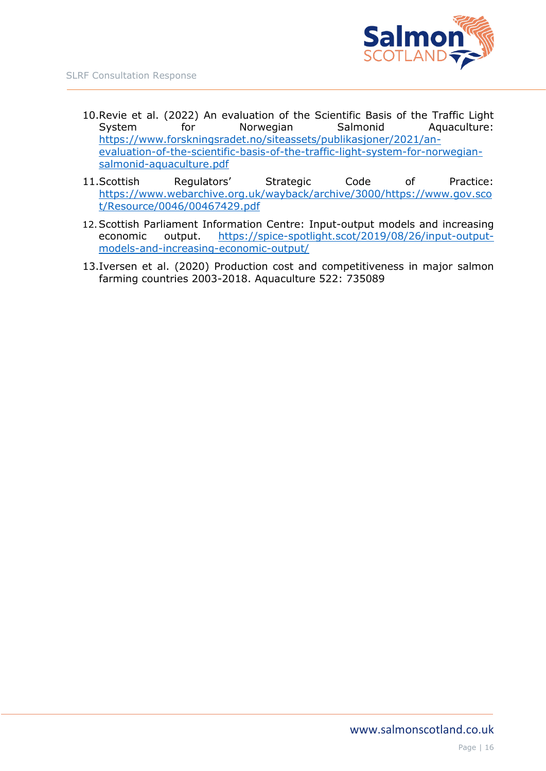

- 10.Revie et al. (2022) An evaluation of the Scientific Basis of the Traffic Light System for Norwegian Salmonid Aquaculture: [https://www.forskningsradet.no/siteassets/publikasjoner/2021/an](https://www.forskningsradet.no/siteassets/publikasjoner/2021/an-evaluation-of-the-scientific-basis-of-the-traffic-light-system-for-norwegian-salmonid-aquaculture.pdf)[evaluation-of-the-scientific-basis-of-the-traffic-light-system-for-norwegian](https://www.forskningsradet.no/siteassets/publikasjoner/2021/an-evaluation-of-the-scientific-basis-of-the-traffic-light-system-for-norwegian-salmonid-aquaculture.pdf)[salmonid-aquaculture.pdf](https://www.forskningsradet.no/siteassets/publikasjoner/2021/an-evaluation-of-the-scientific-basis-of-the-traffic-light-system-for-norwegian-salmonid-aquaculture.pdf)
- 11.Scottish Regulators' Strategic Code of Practice: [https://www.webarchive.org.uk/wayback/archive/3000/https://www.gov.sco](https://www.webarchive.org.uk/wayback/archive/3000/https:/www.gov.scot/Resource/0046/00467429.pdf) [t/Resource/0046/00467429.pdf](https://www.webarchive.org.uk/wayback/archive/3000/https:/www.gov.scot/Resource/0046/00467429.pdf)
- 12.Scottish Parliament Information Centre: Input-output models and increasing economic output. [https://spice-spotlight.scot/2019/08/26/input-output](https://spice-spotlight.scot/2019/08/26/input-output-models-and-increasing-economic-output/)[models-and-increasing-economic-output/](https://spice-spotlight.scot/2019/08/26/input-output-models-and-increasing-economic-output/)
- 13.Iversen et al. (2020) Production cost and competitiveness in major salmon farming countries 2003-2018. Aquaculture 522: 735089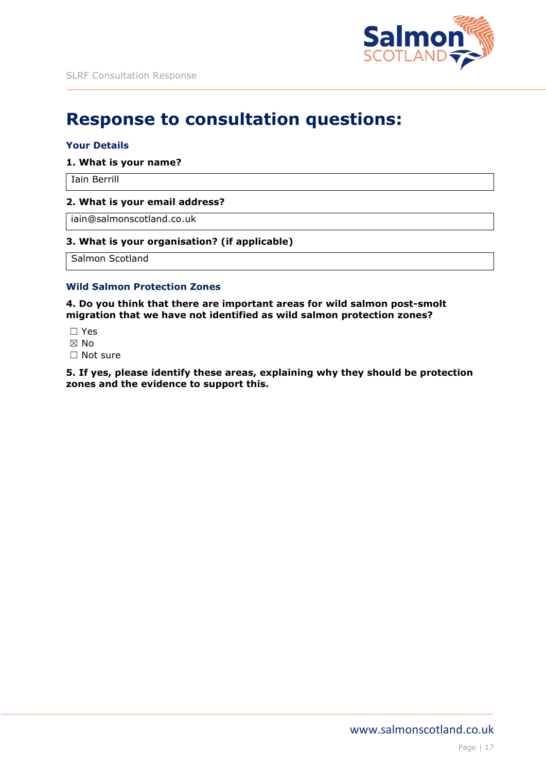

# **Response to consultation questions:**

#### **Your Details**

#### **1. What is your name?**

Iain Berrill

#### **2. What is your email address?**

iain@salmonscotland.co.uk

#### **3. What is your organisation? (if applicable)**

Salmon Scotland

#### **Wild Salmon Protection Zones**

**4. Do you think that there are important areas for wild salmon post-smolt migration that we have not identified as wild salmon protection zones?**

- ☐ Yes
- ☒ No
- □ Not sure

**5. If yes, please identify these areas, explaining why they should be protection zones and the evidence to support this.**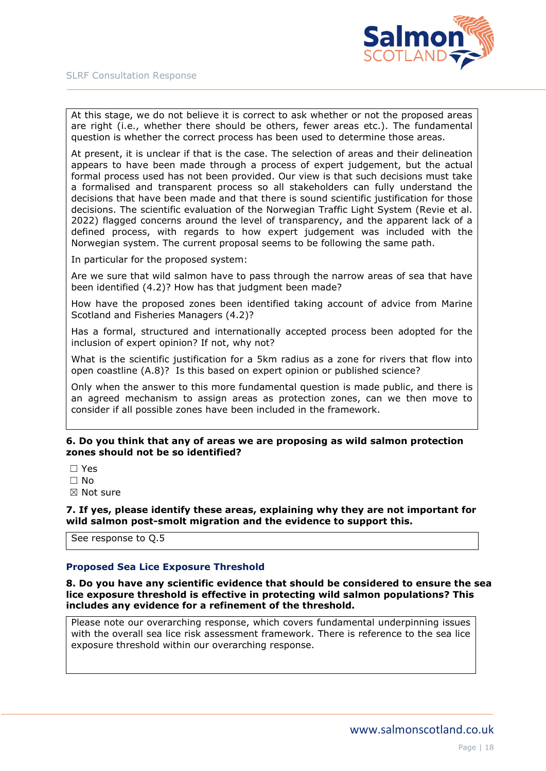

At this stage, we do not believe it is correct to ask whether or not the proposed areas are right (i.e., whether there should be others, fewer areas etc.). The fundamental question is whether the correct process has been used to determine those areas.

At present, it is unclear if that is the case. The selection of areas and their delineation appears to have been made through a process of expert judgement, but the actual formal process used has not been provided. Our view is that such decisions must take a formalised and transparent process so all stakeholders can fully understand the decisions that have been made and that there is sound scientific justification for those decisions. The scientific evaluation of the Norwegian Traffic Light System (Revie et al. 2022) flagged concerns around the level of transparency, and the apparent lack of a defined process, with regards to how expert judgement was included with the Norwegian system. The current proposal seems to be following the same path.

In particular for the proposed system:

Are we sure that wild salmon have to pass through the narrow areas of sea that have been identified (4.2)? How has that judgment been made?

How have the proposed zones been identified taking account of advice from Marine Scotland and Fisheries Managers (4.2)?

Has a formal, structured and internationally accepted process been adopted for the inclusion of expert opinion? If not, why not?

What is the scientific justification for a 5km radius as a zone for rivers that flow into open coastline (A.8)? Is this based on expert opinion or published science?

Only when the answer to this more fundamental question is made public, and there is an agreed mechanism to assign areas as protection zones, can we then move to consider if all possible zones have been included in the framework.

#### **6. Do you think that any of areas we are proposing as wild salmon protection zones should not be so identified?**

- ☐ Yes
- $\Box$  No
- ☒ Not sure

**7. If yes, please identify these areas, explaining why they are not important for wild salmon post-smolt migration and the evidence to support this.**

See response to Q.5

#### **Proposed Sea Lice Exposure Threshold**

**8. Do you have any scientific evidence that should be considered to ensure the sea lice exposure threshold is effective in protecting wild salmon populations? This includes any evidence for a refinement of the threshold.**

Please note our overarching response, which covers fundamental underpinning issues with the overall sea lice risk assessment framework. There is reference to the sea lice exposure threshold within our overarching response.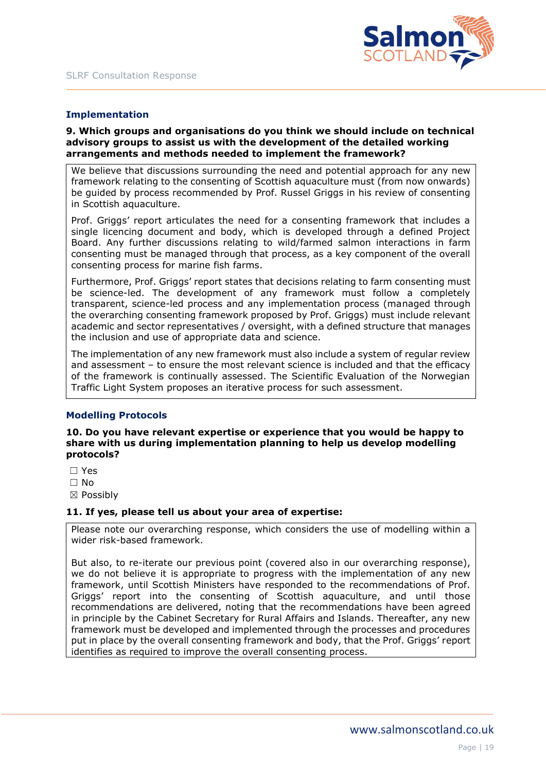

### **Implementation**

#### **9. Which groups and organisations do you think we should include on technical advisory groups to assist us with the development of the detailed working arrangements and methods needed to implement the framework?**

We believe that discussions surrounding the need and potential approach for any new framework relating to the consenting of Scottish aquaculture must (from now onwards) be guided by process recommended by Prof. Russel Griggs in his review of consenting in Scottish aquaculture.

Prof. Griggs' report articulates the need for a consenting framework that includes a single licencing document and body, which is developed through a defined Project Board. Any further discussions relating to wild/farmed salmon interactions in farm consenting must be managed through that process, as a key component of the overall consenting process for marine fish farms.

Furthermore, Prof. Griggs' report states that decisions relating to farm consenting must be science-led. The development of any framework must follow a completely transparent, science-led process and any implementation process (managed through the overarching consenting framework proposed by Prof. Griggs) must include relevant academic and sector representatives / oversight, with a defined structure that manages the inclusion and use of appropriate data and science.

The implementation of any new framework must also include a system of regular review and assessment – to ensure the most relevant science is included and that the efficacy of the framework is continually assessed. The Scientific Evaluation of the Norwegian Traffic Light System proposes an iterative process for such assessment.

#### **Modelling Protocols**

**10. Do you have relevant expertise or experience that you would be happy to share with us during implementation planning to help us develop modelling protocols?**

- ☐ Yes
- ☐ No
- ☒ Possibly

#### **11. If yes, please tell us about your area of expertise:**

Please note our overarching response, which considers the use of modelling within a wider risk-based framework.

But also, to re-iterate our previous point (covered also in our overarching response), we do not believe it is appropriate to progress with the implementation of any new framework, until Scottish Ministers have responded to the recommendations of Prof. Griggs' report into the consenting of Scottish aquaculture, and until those recommendations are delivered, noting that the recommendations have been agreed in principle by the Cabinet Secretary for Rural Affairs and Islands. Thereafter, any new framework must be developed and implemented through the processes and procedures put in place by the overall consenting framework and body, that the Prof. Griggs' report identifies as required to improve the overall consenting process.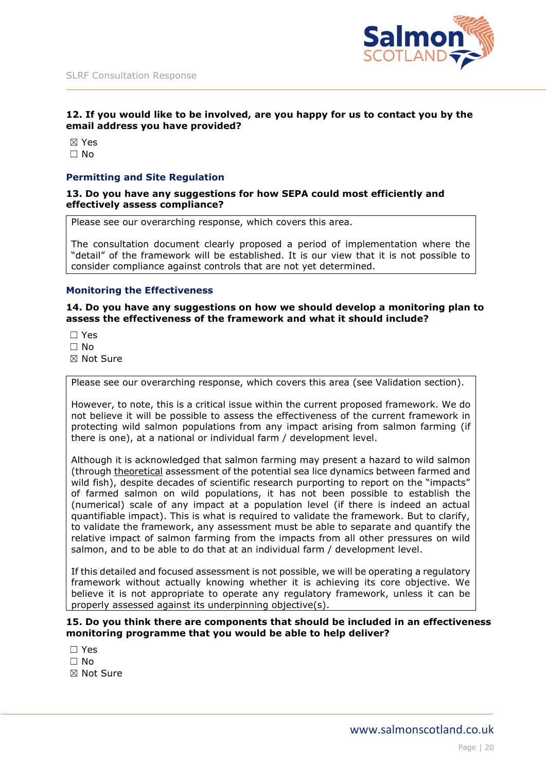



#### **12. If you would like to be involved, are you happy for us to contact you by the email address you have provided?**

☒ Yes ☐ No

#### **Permitting and Site Regulation**

**13. Do you have any suggestions for how SEPA could most efficiently and effectively assess compliance?**

Please see our overarching response, which covers this area.

The consultation document clearly proposed a period of implementation where the "detail" of the framework will be established. It is our view that it is not possible to consider compliance against controls that are not yet determined.

#### **Monitoring the Effectiveness**

#### **14. Do you have any suggestions on how we should develop a monitoring plan to assess the effectiveness of the framework and what it should include?**

☐ Yes

☐ No

☒ Not Sure

Please see our overarching response, which covers this area (see Validation section).

However, to note, this is a critical issue within the current proposed framework. We do not believe it will be possible to assess the effectiveness of the current framework in protecting wild salmon populations from any impact arising from salmon farming (if there is one), at a national or individual farm / development level.

Although it is acknowledged that salmon farming may present a hazard to wild salmon (through theoretical assessment of the potential sea lice dynamics between farmed and wild fish), despite decades of scientific research purporting to report on the "impacts" of farmed salmon on wild populations, it has not been possible to establish the (numerical) scale of any impact at a population level (if there is indeed an actual quantifiable impact). This is what is required to validate the framework. But to clarify, to validate the framework, any assessment must be able to separate and quantify the relative impact of salmon farming from the impacts from all other pressures on wild salmon, and to be able to do that at an individual farm / development level.

If this detailed and focused assessment is not possible, we will be operating a regulatory framework without actually knowing whether it is achieving its core objective. We believe it is not appropriate to operate any regulatory framework, unless it can be properly assessed against its underpinning objective(s).

#### **15. Do you think there are components that should be included in an effectiveness monitoring programme that you would be able to help deliver?**

- ☐ Yes
- $\Box$  No
- ☒ Not Sure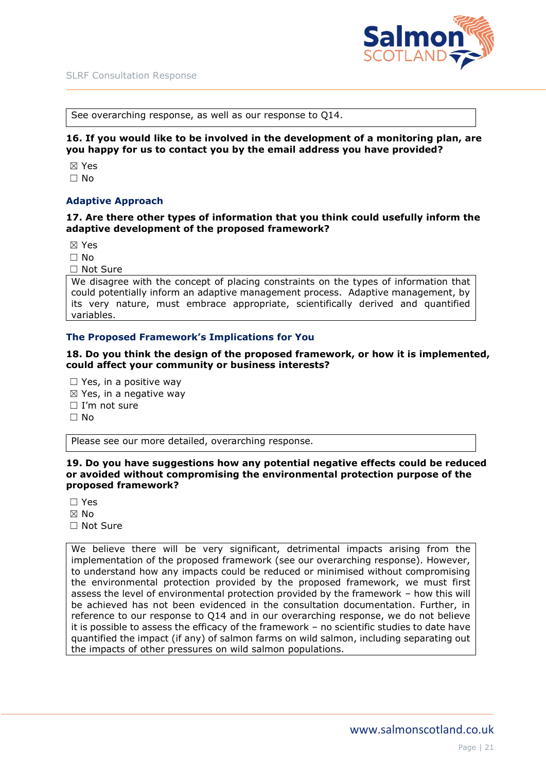

See overarching response, as well as our response to Q14.

**16. If you would like to be involved in the development of a monitoring plan, are you happy for us to contact you by the email address you have provided?**

☒ Yes  $\Box$  No

#### **Adaptive Approach**

#### **17. Are there other types of information that you think could usefully inform the adaptive development of the proposed framework?**

☒ Yes

- $\Box$  No
- ☐ Not Sure

We disagree with the concept of placing constraints on the types of information that could potentially inform an adaptive management process. Adaptive management, by its very nature, must embrace appropriate, scientifically derived and quantified variables.

#### **The Proposed Framework's Implications for You**

**18. Do you think the design of the proposed framework, or how it is implemented, could affect your community or business interests?**

- $\Box$  Yes, in a positive way
- $\boxtimes$  Yes, in a negative way
- $\Box$  I'm not sure
- $\Box$  No

Please see our more detailed, overarching response.

#### **19. Do you have suggestions how any potential negative effects could be reduced or avoided without compromising the environmental protection purpose of the proposed framework?**

- ☐ Yes
- ☒ No
- □ Not Sure

We believe there will be very significant, detrimental impacts arising from the implementation of the proposed framework (see our overarching response). However, to understand how any impacts could be reduced or minimised without compromising the environmental protection provided by the proposed framework, we must first assess the level of environmental protection provided by the framework – how this will be achieved has not been evidenced in the consultation documentation. Further, in reference to our response to Q14 and in our overarching response, we do not believe it is possible to assess the efficacy of the framework – no scientific studies to date have quantified the impact (if any) of salmon farms on wild salmon, including separating out the impacts of other pressures on wild salmon populations.